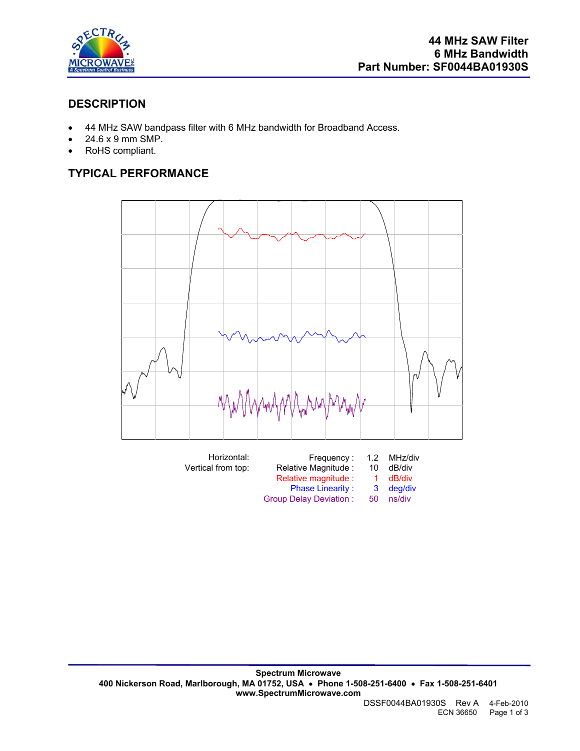

## **DESCRIPTION**

- 44 MHz SAW bandpass filter with 6 MHz bandwidth for Broadband Access.
- 24.6 x 9 mm SMP.
- RoHS compliant.

# **TYPICAL PERFORMANCE**

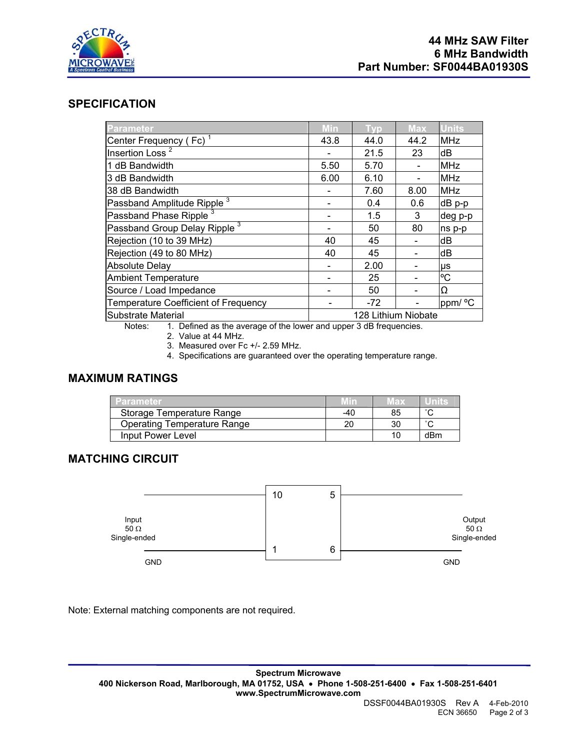

#### **SPECIFICATION**

| Parameter                                | Min  | <b>Typ</b>          | <b>Max</b> | <b>Units</b> |
|------------------------------------------|------|---------------------|------------|--------------|
| Center Frequency (Fc) <sup>1</sup>       | 43.8 | 44.0                | 44.2       | <b>MHz</b>   |
| Insertion Loss <sup>2</sup>              |      | 21.5                | 23         | dB           |
| 1 dB Bandwidth                           | 5.50 | 5.70                |            | <b>MHz</b>   |
| 3 dB Bandwidth                           | 6.00 | 6.10                |            | <b>MHz</b>   |
| 38 dB Bandwidth                          |      | 7.60                | 8.00       | <b>MHz</b>   |
| Passband Amplitude Ripple <sup>3</sup>   |      | 0.4                 | 0.6        | $dB$ p-p     |
| Passband Phase Ripple <sup>3</sup>       |      | 1.5                 | 3          | deg p-p      |
| Passband Group Delay Ripple <sup>3</sup> |      | 50                  | 80         | ns p-p       |
| Rejection (10 to 39 MHz)                 | 40   | 45                  |            | dB           |
| Rejection (49 to 80 MHz)                 | 40   | 45                  |            | dB           |
| <b>Absolute Delay</b>                    |      | 2.00                |            | μs           |
| <b>Ambient Temperature</b>               |      | 25                  |            | °C           |
| Source / Load Impedance                  |      | 50                  |            | Ω            |
| Temperature Coefficient of Frequency     |      | $-72$               |            | ppm/ °C      |
| Substrate Material                       |      | 128 Lithium Niobate |            |              |

Notes: 1. Defined as the average of the lower and upper 3 dB frequencies.

2. Value at 44 MHz.

3. Measured over Fc +/- 2.59 MHz.

4. Specifications are guaranteed over the operating temperature range.

#### **MAXIMUM RATINGS**

| <b>ZParameter</b>                  | Min. | Max |        |
|------------------------------------|------|-----|--------|
| Storage Temperature Range          | -40  | 85  | $\sim$ |
| <b>Operating Temperature Range</b> | 20   |     | $\sim$ |
| Input Power Level                  |      |     | dBm    |

### **MATCHING CIRCUIT**

|                                      | 10 | 5 |                                       |
|--------------------------------------|----|---|---------------------------------------|
| Input<br>50 $\Omega$<br>Single-ended |    |   | Output<br>50 $\Omega$<br>Single-ended |
|                                      |    | 6 |                                       |
| <b>GND</b>                           |    |   | <b>GND</b>                            |

Note: External matching components are not required.